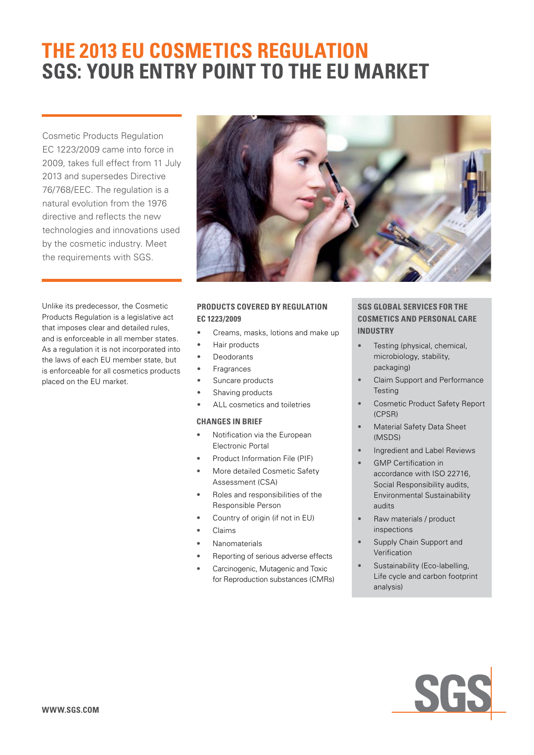# **THE 2013 EU COSMETICS REGULATION SGS: YOUR ENTRY POINT TO THE EU MARKET**

Cosmetic Products Regulation EC 1223/2009 came into force in 2009, takes full effect from 11 July 2013 and supersedes Directive 76/768/EEC. The regulation is a natural evolution from the 1976 directive and reflects the new technologies and innovations used by the cosmetic industry. Meet the requirements with SGS.

Unlike its predecessor, the Cosmetic Products Regulation is a legislative act that imposes clear and detailed rules, and is enforceable in all member states. As a regulation it is not incorporated into the laws of each EU member state, but is enforceable for all cosmetics products placed on the EU market.



# **PRODUCTS COVERED BY REGULATION EC 1223/2009**

- Creams, masks, lotions and make up
- Hair products
- **Deodorants**
- **Fragrances**
- Suncare products
- Shaving products
- ALL cosmetics and toiletries

### **CHANGES IN BRIEF**

- Notification via the European Electronic Portal
- Product Information File (PIF)
- More detailed Cosmetic Safety Assessment (CSA)
- • Roles and responsibilities of the Responsible Person
- Country of origin (if not in EU)
- **Claims**
- **Nanomaterials**
- Reporting of serious adverse effects
- Carcinogenic, Mutagenic and Toxic for Reproduction substances (CMRs)

## **SGS GLOBAL SERVICES FOR THE COSMETICS AND PERSONAL CARE INDUSTRY**

- Testing (physical, chemical, microbiology, stability, packaging)
- Claim Support and Performance **Testing**
- Cosmetic Product Safety Report (CPSR)
- **Material Safety Data Sheet** (MSDS)
- Ingredient and Label Reviews
- **GMP Certification in** accordance with ISO 22716, Social Responsibility audits, Environmental Sustainability audits
- Raw materials / product inspections
- Supply Chain Support and Verification
- Sustainability (Eco-labelling, Life cycle and carbon footprint analysis)